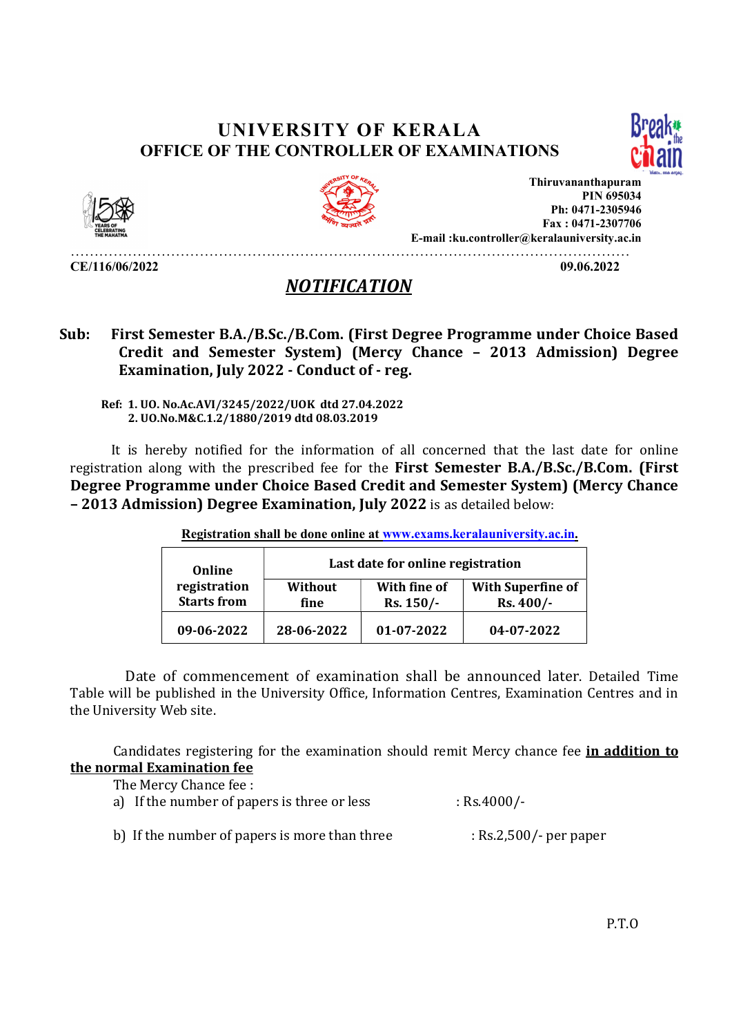## UNIVERSITY OF KERALA OFFICE OF THE CONTROLLER OF EXAMINATIONS





CE/116/06/2022 09.06.2022



Thiruvananthapuram PIN 695034 Ph: 0471-2305946 Fax : 0471-2307706 E-mail :ku.controller@keralauniversity.ac.in

………………………………………………………………………………………………………

## NOTIFICATION

Sub: First Semester B.A./B.Sc./B.Com. (First Degree Programme under Choice Based Credit and Semester System) (Mercy Chance – 2013 Admission) Degree Examination, July 2022 - Conduct of - reg.

 Ref: 1. UO. No.Ac.AVI/3245/2022/UOK dtd 27.04.2022 2. UO.No.M&C.1.2/1880/2019 dtd 08.03.2019

 It is hereby notified for the information of all concerned that the last date for online registration along with the prescribed fee for the First Semester B.A./B.Sc./B.Com. (First Degree Programme under Choice Based Credit and Semester System) (Mercy Chance Email: ku.controller@keepere Programme under Choice Based<br>
Fax: 0471-2307966<br>
CE/116/06/2022<br>
2107.02022<br>
2107.02022<br>
2107.020221<br>
2200.020221<br>
2200.020221<br>
2200.020221<br>
2200.020221<br>
2200.020221<br>
2200.020221<br>
2200.020221<br>

| Online                             | Last date for online registration |                           |                                        |
|------------------------------------|-----------------------------------|---------------------------|----------------------------------------|
| registration<br><b>Starts from</b> | Without<br>fine                   | With fine of<br>Rs. 150/- | <b>With Superfine of</b><br>$Rs.400/-$ |
| 09-06-2022                         | 28-06-2022                        | $01 - 07 - 2022$          | 04-07-2022                             |

Registration shall be done online at www.exams.keralauniversity.ac.in.

 Date of commencement of examination shall be announced later. Detailed Time Table will be published in the University Office, Information Centres, Examination Centres and in the University Web site.

Candidates registering for the examination should remit Mercy chance fee *in addition to* the normal Examination fee

| The Mercy Chance fee :                      |               |
|---------------------------------------------|---------------|
| a) If the number of papers is three or less | $:$ Rs.4000/- |

b) If the number of papers is more than three : Rs.2,500/- per paper